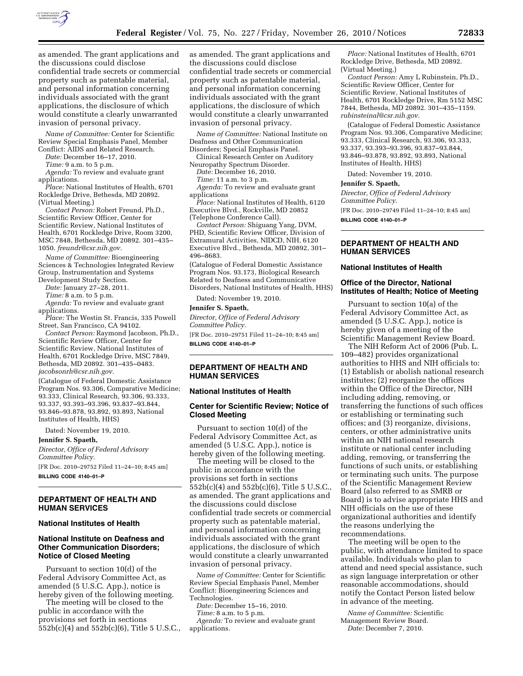

as amended. The grant applications and the discussions could disclose confidential trade secrets or commercial property such as patentable material, and personal information concerning individuals associated with the grant applications, the disclosure of which would constitute a clearly unwarranted invasion of personal privacy.

*Name of Committee:* Center for Scientific Review Special Emphasis Panel, Member Conflict: AIDS and Related Research.

*Date:* December 16–17, 2010.

*Time:* 9 a.m. to 5 p.m.

*Agenda:* To review and evaluate grant applications.

*Place:* National Institutes of Health, 6701 Rockledge Drive, Bethesda, MD 20892. (Virtual Meeting.)

*Contact Person:* Robert Freund, Ph.D., Scientific Review Officer, Center for Scientific Review, National Institutes of Health, 6701 Rockledge Drive, Room 3200, MSC 7848, Bethesda, MD 20892. 301–435– 1050. *[freundr@csr.nih.gov.](mailto:freundr@csr.nih.gov)* 

*Name of Committee:* Bioengineering Sciences & Technologies Integrated Review Group, Instrumentation and Systems Development Study Section.

*Date:* January 27–28, 2011.

*Time:* 8 a.m. to 5 p.m.

*Agenda:* To review and evaluate grant applications.

*Place:* The Westin St. Francis, 335 Powell Street, San Francisco, CA 94102.

*Contact Person:* Raymond Jacobson, Ph.D., Scientific Review Officer, Center for Scientific Review, National Institutes of Health, 6701 Rockledge Drive, MSC 7849, Bethesda, MD 20892. 301–435–0483. *[jacobsonrh@csr.nih.gov.](mailto:jacobsonrh@csr.nih.gov)* 

(Catalogue of Federal Domestic Assistance Program Nos. 93.306, Comparative Medicine; 93.333, Clinical Research, 93.306, 93.333, 93.337, 93.393–93.396, 93.837–93.844, 93.846–93.878, 93.892, 93.893, National Institutes of Health, HHS)

Dated: November 19, 2010.

#### **Jennifer S. Spaeth,**

*Director, Office of Federal Advisory Committee Policy.* 

[FR Doc. 2010–29752 Filed 11–24–10; 8:45 am] **BILLING CODE 4140–01–P** 

#### **DEPARTMENT OF HEALTH AND HUMAN SERVICES**

#### **National Institutes of Health**

## **National Institute on Deafness and Other Communication Disorders; Notice of Closed Meeting**

Pursuant to section 10(d) of the Federal Advisory Committee Act, as amended (5 U.S.C. App.), notice is hereby given of the following meeting.

The meeting will be closed to the public in accordance with the provisions set forth in sections 552b(c)(4) and 552b(c)(6), Title 5 U.S.C., as amended. The grant applications and the discussions could disclose confidential trade secrets or commercial property such as patentable material, and personal information concerning individuals associated with the grant applications, the disclosure of which would constitute a clearly unwarranted invasion of personal privacy.

*Name of Committee:* National Institute on Deafness and Other Communication Disorders; Special Emphasis Panel.

Clinical Research Center on Auditory Neuropathy Spectrum Disorder.

*Date:* December 16, 2010.

*Time:* 11 a.m. to 3 p.m.

*Agenda:* To review and evaluate grant applications

*Place:* National Institutes of Health, 6120 Executive Blvd., Rockville, MD 20852 (Telephone Conference Call).

*Contact Person:* Shiguang Yang, DVM, PHD, Scientific Review Officer, Division of Extramural Activities, NIDCD, NIH, 6120 Executive Blvd., Bethesda, MD 20892, 301– 496–8683.

(Catalogue of Federal Domestic Assistance Program Nos. 93.173, Biological Research Related to Deafness and Communicative Disorders, National Institutes of Health, HHS)

Dated: November 19, 2010.

#### **Jennifer S. Spaeth,**

*Director, Office of Federal Advisory Committee Policy.* 

[FR Doc. 2010–29751 Filed 11–24–10; 8:45 am] **BILLING CODE 4140–01–P** 

## **DEPARTMENT OF HEALTH AND HUMAN SERVICES**

#### **National Institutes of Health**

## **Center for Scientific Review; Notice of Closed Meeting**

Pursuant to section 10(d) of the Federal Advisory Committee Act, as amended (5 U.S.C. App.), notice is hereby given of the following meeting.

The meeting will be closed to the public in accordance with the provisions set forth in sections 552b(c)(4) and 552b(c)(6), Title 5 U.S.C., as amended. The grant applications and the discussions could disclose confidential trade secrets or commercial property such as patentable material, and personal information concerning individuals associated with the grant applications, the disclosure of which would constitute a clearly unwarranted invasion of personal privacy.

*Name of Committee:* Center for Scientific Review Special Emphasis Panel, Member Conflict: Bioengineering Sciences and Technologies.

*Date:* December 15–16, 2010.

*Time:* 8 a.m. to 5 p.m.

*Agenda:* To review and evaluate grant applications.

*Place:* National Institutes of Health, 6701 Rockledge Drive, Bethesda, MD 20892. (Virtual Meeting.)

*Contact Person:* Amy L Rubinstein, Ph.D., Scientific Review Officer, Center for Scientific Review, National Institutes of Health, 6701 Rockledge Drive, Rm 5152 MSC 7844, Bethesda, MD 20892. 301–435–1159. *[rubinsteinal@csr.nih.gov.](mailto:rubinsteinal@csr.nih.gov)* 

(Catalogue of Federal Domestic Assistance Program Nos. 93.306, Comparative Medicine; 93.333, Clinical Research, 93.306, 93.333, 93.337, 93.393–93.396, 93.837–93.844, 93.846–93.878, 93.892, 93.893, National Institutes of Health, HHS)

Dated: November 19, 2010.

#### **Jennifer S. Spaeth,**

*Director, Office of Federal Advisory Committee Policy.* 

[FR Doc. 2010–29749 Filed 11–24–10; 8:45 am]

**BILLING CODE 4140–01–P** 

## **DEPARTMENT OF HEALTH AND HUMAN SERVICES**

#### **National Institutes of Health**

#### **Office of the Director, National Institutes of Health; Notice of Meeting**

Pursuant to section 10(a) of the Federal Advisory Committee Act, as amended (5 U.S.C. App.), notice is hereby given of a meeting of the Scientific Management Review Board.

The NIH Reform Act of 2006 (Pub. L. 109–482) provides organizational authorities to HHS and NIH officials to: (1) Establish or abolish national research institutes; (2) reorganize the offices within the Office of the Director, NIH including adding, removing, or transferring the functions of such offices or establishing or terminating such offices; and (3) reorganize, divisions, centers, or other administrative units within an NIH national research institute or national center including adding, removing, or transferring the functions of such units, or establishing or terminating such units. The purpose of the Scientific Management Review Board (also referred to as SMRB or Board) is to advise appropriate HHS and NIH officials on the use of these organizational authorities and identify the reasons underlying the recommendations.

The meeting will be open to the public, with attendance limited to space available. Individuals who plan to attend and need special assistance, such as sign language interpretation or other reasonable accommodations, should notify the Contact Person listed below in advance of the meeting.

*Name of Committee:* Scientific Management Review Board. *Date:* December 7, 2010.